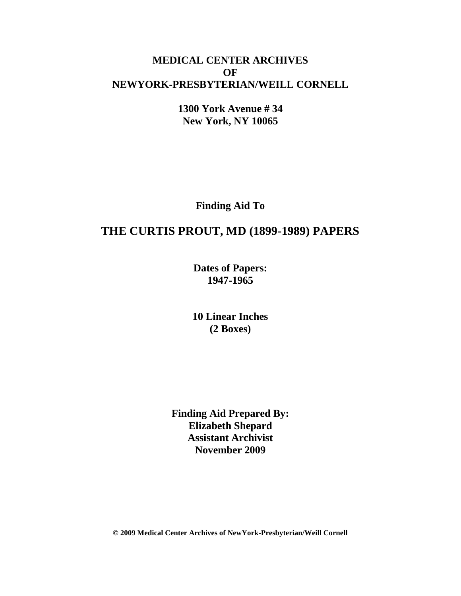## **MEDICAL CENTER ARCHIVES OF NEWYORK-PRESBYTERIAN/WEILL CORNELL**

**1300 York Avenue # 34 New York, NY 10065**

**Finding Aid To**

# **THE CURTIS PROUT, MD (1899-1989) PAPERS**

**Dates of Papers: 1947-1965**

**10 Linear Inches (2 Boxes)**

**Finding Aid Prepared By: Elizabeth Shepard Assistant Archivist November 2009**

**© 2009 Medical Center Archives of NewYork-Presbyterian/Weill Cornell**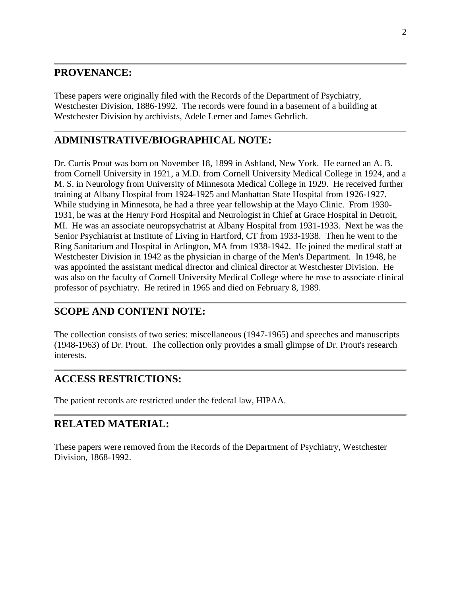### **PROVENANCE:**

These papers were originally filed with the Records of the Department of Psychiatry, Westchester Division, 1886-1992. The records were found in a basement of a building at Westchester Division by archivists, Adele Lerner and James Gehrlich.

## **ADMINISTRATIVE/BIOGRAPHICAL NOTE:**

Dr. Curtis Prout was born on November 18, 1899 in Ashland, New York. He earned an A. B. from Cornell University in 1921, a M.D. from Cornell University Medical College in 1924, and a M. S. in Neurology from University of Minnesota Medical College in 1929. He received further training at Albany Hospital from 1924-1925 and Manhattan State Hospital from 1926-1927. While studying in Minnesota, he had a three year fellowship at the Mayo Clinic. From 1930- 1931, he was at the Henry Ford Hospital and Neurologist in Chief at Grace Hospital in Detroit, MI. He was an associate neuropsychatrist at Albany Hospital from 1931-1933. Next he was the Senior Psychiatrist at Institute of Living in Hartford, CT from 1933-1938. Then he went to the Ring Sanitarium and Hospital in Arlington, MA from 1938-1942. He joined the medical staff at Westchester Division in 1942 as the physician in charge of the Men's Department. In 1948, he was appointed the assistant medical director and clinical director at Westchester Division. He was also on the faculty of Cornell University Medical College where he rose to associate clinical professor of psychiatry. He retired in 1965 and died on February 8, 1989.

## **SCOPE AND CONTENT NOTE:**

The collection consists of two series: miscellaneous (1947-1965) and speeches and manuscripts (1948-1963) of Dr. Prout. The collection only provides a small glimpse of Dr. Prout's research interests.

### **ACCESS RESTRICTIONS:**

The patient records are restricted under the federal law, HIPAA.

### **RELATED MATERIAL:**

These papers were removed from the Records of the Department of Psychiatry, Westchester Division, 1868-1992.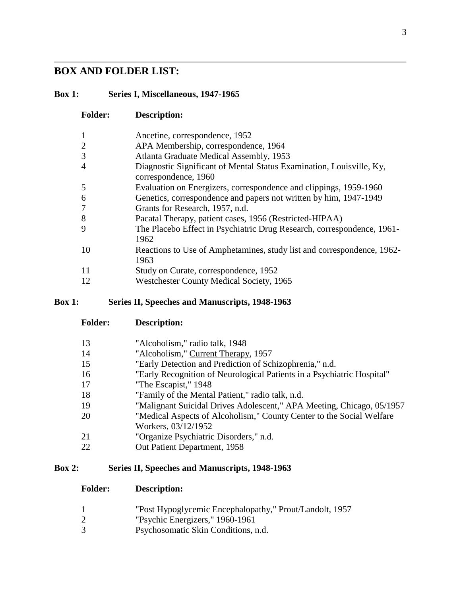## **BOX AND FOLDER LIST:**

#### **Box 1: Series I, Miscellaneous, 1947-1965**

| <b>Folder:</b> | <b>Description:</b>                                                                          |
|----------------|----------------------------------------------------------------------------------------------|
| $\mathbf{1}$   | Ancetine, correspondence, 1952                                                               |
| $\overline{2}$ | APA Membership, correspondence, 1964                                                         |
| 3              | Atlanta Graduate Medical Assembly, 1953                                                      |
| $\overline{4}$ | Diagnostic Significant of Mental Status Examination, Louisville, Ky,<br>correspondence, 1960 |
| 5              | Evaluation on Energizers, correspondence and clippings, 1959-1960                            |
| 6              | Genetics, correspondence and papers not written by him, 1947-1949                            |
| $\overline{7}$ | Grants for Research, 1957, n.d.                                                              |
| 8              | Pacatal Therapy, patient cases, 1956 (Restricted-HIPAA)                                      |
| 9              | The Placebo Effect in Psychiatric Drug Research, correspondence, 1961-<br>1962               |
| 10             | Reactions to Use of Amphetamines, study list and correspondence, 1962-<br>1963               |
| 11             | Study on Curate, correspondence, 1952                                                        |
| 12             | Westchester County Medical Society, 1965                                                     |

#### **Box 1: Series II, Speeches and Manuscripts, 1948-1963**

**Folder: Description:**

| 13 | "Alcoholism," radio talk, 1948                                         |
|----|------------------------------------------------------------------------|
| 14 | "Alcoholism," Current Therapy, 1957                                    |
| 15 | "Early Detection and Prediction of Schizophrenia," n.d.                |
| 16 | "Early Recognition of Neurological Patients in a Psychiatric Hospital" |
| 17 | "The Escapist," 1948                                                   |
| 18 | "Family of the Mental Patient," radio talk, n.d.                       |
| 19 | "Malignant Suicidal Drives Adolescent," APA Meeting, Chicago, 05/1957  |
| 20 | "Medical Aspects of Alcoholism," County Center to the Social Welfare   |
|    | Workers, 03/12/1952                                                    |
| 21 | "Organize Psychiatric Disorders," n.d.                                 |
| 22 | Out Patient Department, 1958                                           |
|    |                                                                        |

#### **Box 2: Series II, Speeches and Manuscripts, 1948-1963**

#### **Folder: Description:**

- "Post Hypoglycemic Encephalopathy," Prout/Landolt, 1957
- "Psychic Energizers," 1960-1961
- Psychosomatic Skin Conditions, n.d.